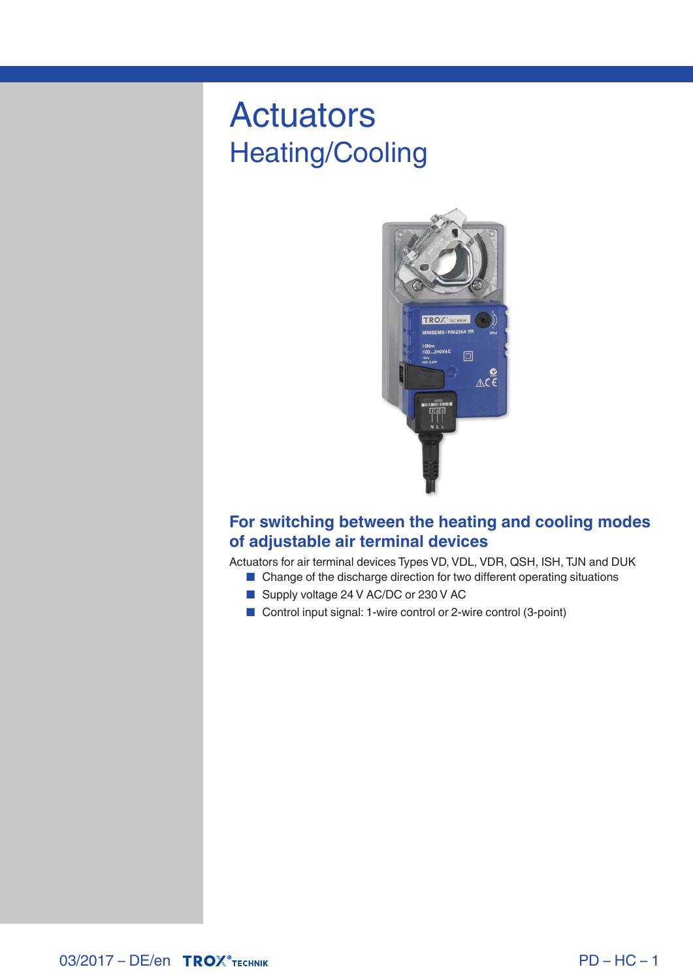# Actuators Heating/Cooling



## **For switching between the heating and cooling modes of adjustable air terminal devices**

Actuators for air terminal devices Types VD, VDL, VDR, QSH, ISH, TJN and DUK

- Change of the discharge direction for two different operating situations
- Supply voltage 24 V AC/DC or 230 V AC
- Control input signal: 1-wire control or 2-wire control (3-point)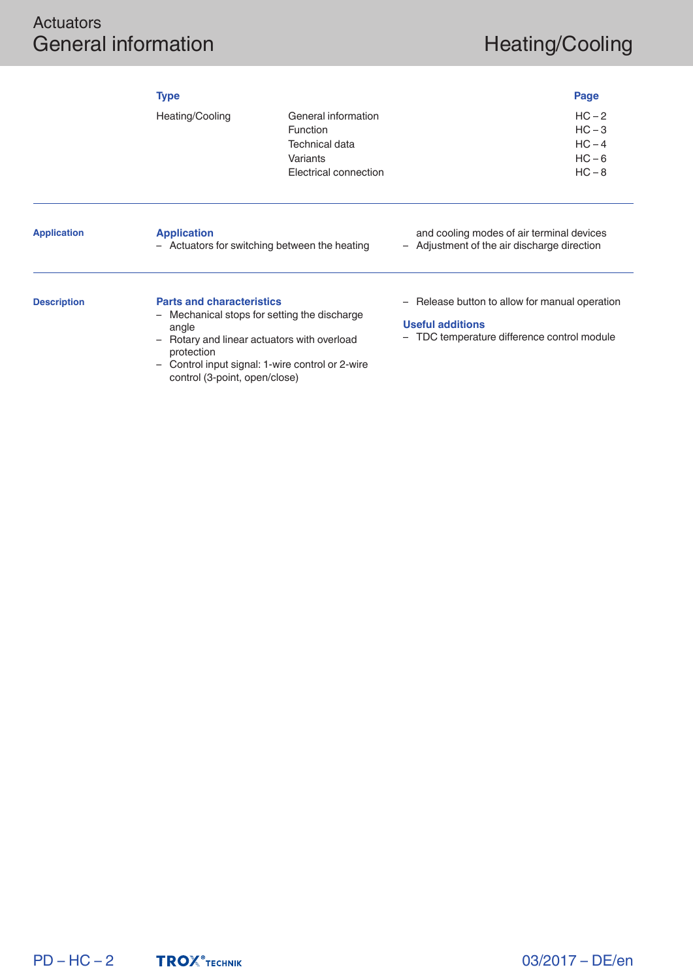## Actuators General information and the extra set of the Heating/Cooling

|                    | <b>Type</b>                                                           |                                                                                        |                                                                                          | Page                                                     |
|--------------------|-----------------------------------------------------------------------|----------------------------------------------------------------------------------------|------------------------------------------------------------------------------------------|----------------------------------------------------------|
|                    | Heating/Cooling                                                       | General information<br>Function<br>Technical data<br>Variants<br>Electrical connection |                                                                                          | $HC - 2$<br>$HC - 3$<br>$HC - 4$<br>$HC - 6$<br>$HC - 8$ |
| <b>Application</b> | <b>Application</b>                                                    | - Actuators for switching between the heating                                          | and cooling modes of air terminal devices<br>- Adjustment of the air discharge direction |                                                          |
| <b>Description</b> | <b>Parts and characteristics</b><br>$\overline{\phantom{m}}$<br>angle | Mechanical stops for setting the discharge                                             | - Release button to allow for manual operation<br><b>Useful additions</b>                |                                                          |

- Rotary and linear actuators with overload protection
- Control input signal: 1-wire control or 2-wire control (3-point, open/close)
- TDC temperature difference control module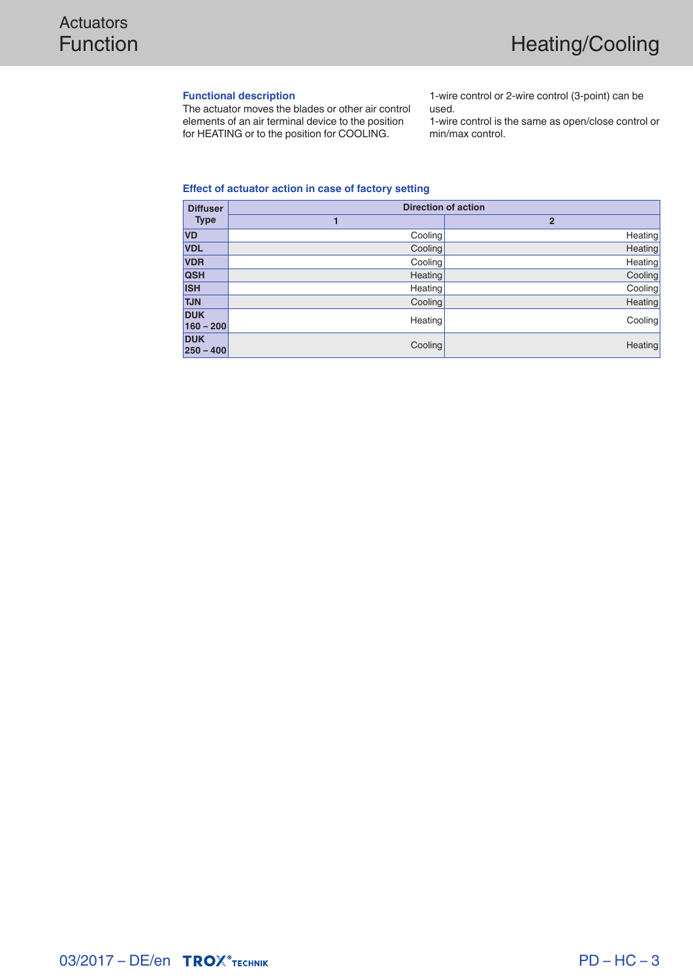#### **Functional description**

The actuator moves the blades or other air control elements of an air terminal device to the position for HEATING or to the position for COOLING.

1-wire control or 2-wire control (3-point) can be used.

1-wire control is the same as open/close control or min/max control.

#### **Effect of actuator action in case of factory setting**

| <b>Diffuser</b>             | <b>Direction of action</b> |                |  |
|-----------------------------|----------------------------|----------------|--|
| <b>Type</b>                 |                            | $\overline{2}$ |  |
| <b>VD</b>                   | Cooling                    | Heating        |  |
| <b>VDL</b>                  | Cooling                    | Heating        |  |
| <b>VDR</b>                  | Cooling                    | Heating        |  |
| <b>QSH</b>                  | <b>Heating</b>             | Cooling        |  |
| <b>ISH</b>                  | <b>Heating</b>             | Cooling        |  |
| <b>TJN</b>                  | Cooling                    | Heating        |  |
| <b>DUK</b><br>$160 - 200$   | Heating                    | Cooling        |  |
| <b>DUK</b><br>$ 250 - 400 $ | Cooling                    | Heating        |  |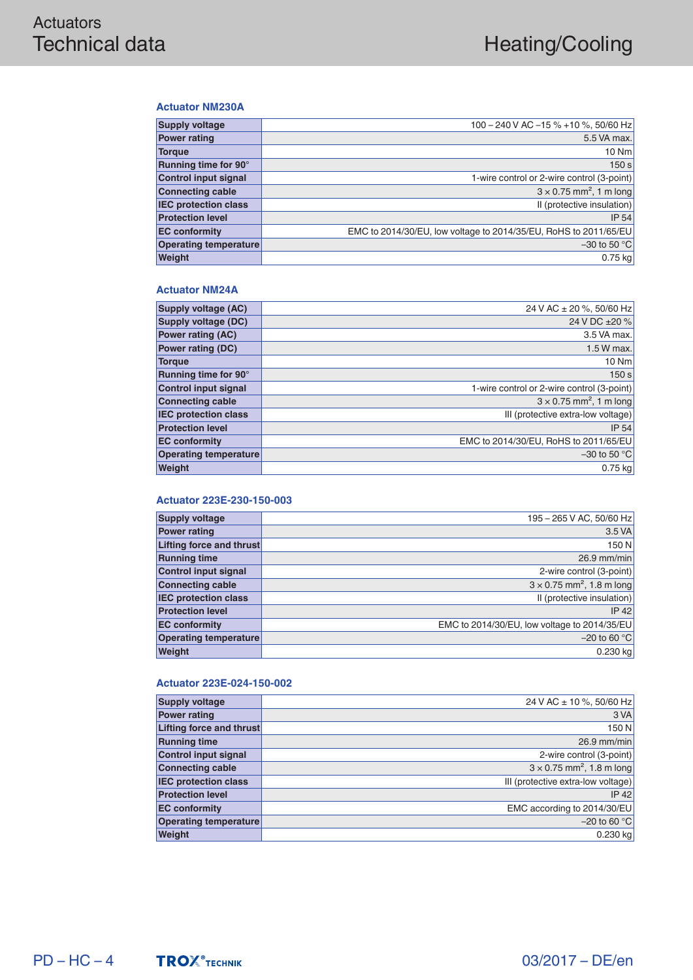#### **Actuator NM230A**

| <b>Supply voltage</b>        | 100 - 240 V AC -15 % +10 %, 50/60 Hz                             |
|------------------------------|------------------------------------------------------------------|
| <b>Power rating</b>          | 5.5 VA max.                                                      |
| <b>Torgue</b>                | $10$ Nm                                                          |
| Running time for 90°         | 150 s                                                            |
| <b>Control input signal</b>  | 1-wire control or 2-wire control (3-point)                       |
| <b>Connecting cable</b>      | $3 \times 0.75$ mm <sup>2</sup> , 1 m long                       |
| <b>IEC protection class</b>  | Il (protective insulation)                                       |
| <b>Protection level</b>      | IP 54                                                            |
| <b>EC conformity</b>         | EMC to 2014/30/EU, low voltage to 2014/35/EU, RoHS to 2011/65/EU |
| <b>Operating temperature</b> | $-30$ to 50 °C                                                   |
| Weight                       | $0.75$ kg                                                        |
|                              |                                                                  |

#### **Actuator NM24A**

| <b>Supply voltage (AC)</b>   | 24 V AC ± 20 %, 50/60 Hz                   |
|------------------------------|--------------------------------------------|
| Supply voltage (DC)          | 24 V DC ±20 %                              |
| <b>Power rating (AC)</b>     | 3.5 VA max.                                |
| <b>Power rating (DC)</b>     | 1.5 W max.                                 |
| <b>Torque</b>                | 10 Nm                                      |
| Running time for 90°         | 150 s                                      |
| <b>Control input signal</b>  | 1-wire control or 2-wire control (3-point) |
| <b>Connecting cable</b>      | $3 \times 0.75$ mm <sup>2</sup> , 1 m long |
| <b>IEC protection class</b>  | III (protective extra-low voltage)         |
| <b>Protection level</b>      | IP 54                                      |
| <b>EC conformity</b>         | EMC to 2014/30/EU, RoHS to 2011/65/EU      |
| <b>Operating temperature</b> | $-30$ to 50 $^{\circ}$ C                   |
| Weight                       | $0.75$ kg                                  |
|                              |                                            |

#### **Actuator 223E-230-150-003**

| 195 - 265 V AC, 50/60 Hz                     |
|----------------------------------------------|
| 3.5 VA                                       |
| 150 N                                        |
| $26.9$ mm/min                                |
| 2-wire control (3-point)                     |
| $3 \times 0.75$ mm <sup>2</sup> , 1.8 m long |
| Il (protective insulation)                   |
| $IP$ 42                                      |
| EMC to 2014/30/EU, low voltage to 2014/35/EU |
| $-20$ to 60 °C                               |
| $0.230$ kg                                   |
|                                              |

#### **Actuator 223E-024-150-002**

| 24 V AC ± 10 %, 50/60 Hz                     |
|----------------------------------------------|
| 3 VA                                         |
| 150 N<br>Lifting force and thrust            |
| $26.9$ mm/min                                |
| 2-wire control (3-point)                     |
| $3 \times 0.75$ mm <sup>2</sup> , 1.8 m long |
| III (protective extra-low voltage)           |
| $IP$ 42                                      |
| EMC according to 2014/30/EU                  |
| $-20$ to 60 °C                               |
| $0.230$ kg                                   |
|                                              |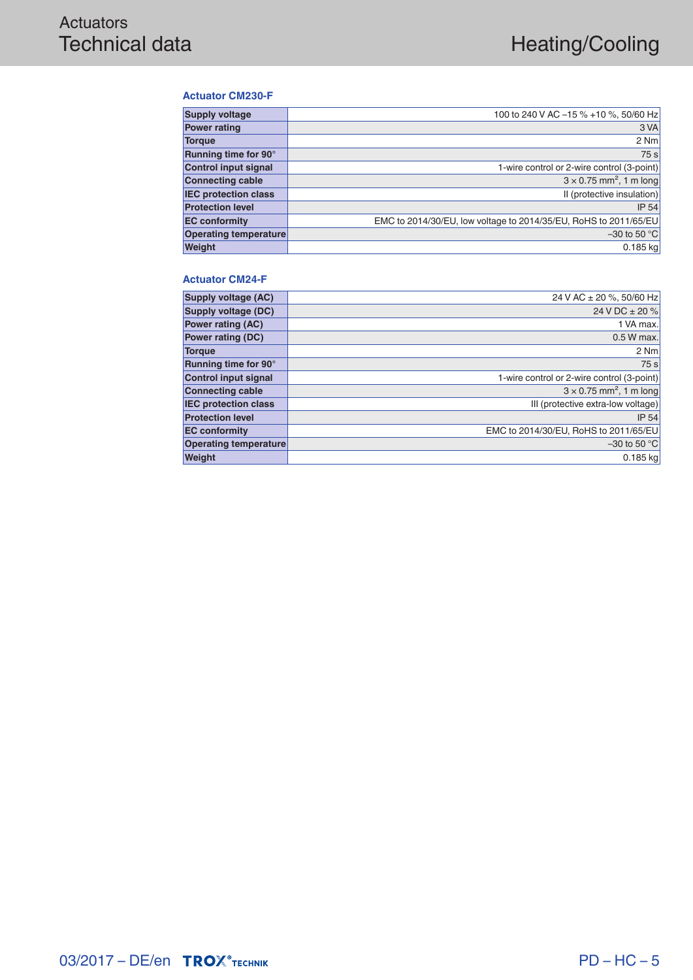#### **Actuator CM230-F**

| <b>Supply voltage</b>       | 100 to 240 V AC -15 % +10 %, 50/60 Hz                            |
|-----------------------------|------------------------------------------------------------------|
| <b>Power rating</b>         | 3 VA                                                             |
| <b>Torque</b>               | 2 Nm                                                             |
| Running time for 90°        | 75 s                                                             |
| <b>Control input signal</b> | 1-wire control or 2-wire control (3-point)                       |
| <b>Connecting cable</b>     | $3 \times 0.75$ mm <sup>2</sup> , 1 m long                       |
| <b>IEC protection class</b> | Il (protective insulation)                                       |
| <b>Protection level</b>     | IP 54                                                            |
| <b>EC</b> conformity        | EMC to 2014/30/EU, low voltage to 2014/35/EU, RoHS to 2011/65/EU |
| Operating temperature       | $-30$ to 50 °C                                                   |
| Weight                      | $0.185$ kg                                                       |

#### **Actuator CM24-F**

| <b>Supply voltage (AC)</b>  | 24 V AC ± 20 %, 50/60 Hz                   |
|-----------------------------|--------------------------------------------|
| Supply voltage (DC)         | 24 V DC $\pm$ 20 %                         |
| <b>Power rating (AC)</b>    | 1 VA max.                                  |
| <b>Power rating (DC)</b>    | $0.5 W$ max.                               |
| <b>Torque</b>               | 2 Nm                                       |
| Running time for 90°        | 75s                                        |
| <b>Control input signal</b> | 1-wire control or 2-wire control (3-point) |
| <b>Connecting cable</b>     | $3 \times 0.75$ mm <sup>2</sup> , 1 m long |
| <b>IEC protection class</b> | III (protective extra-low voltage)         |
| <b>Protection level</b>     | <b>IP 54</b>                               |
| <b>EC conformity</b>        | EMC to 2014/30/EU, RoHS to 2011/65/EU      |
| Operating temperature       | $-30$ to 50 °C                             |
| Weight                      | 0.185 kg                                   |
|                             |                                            |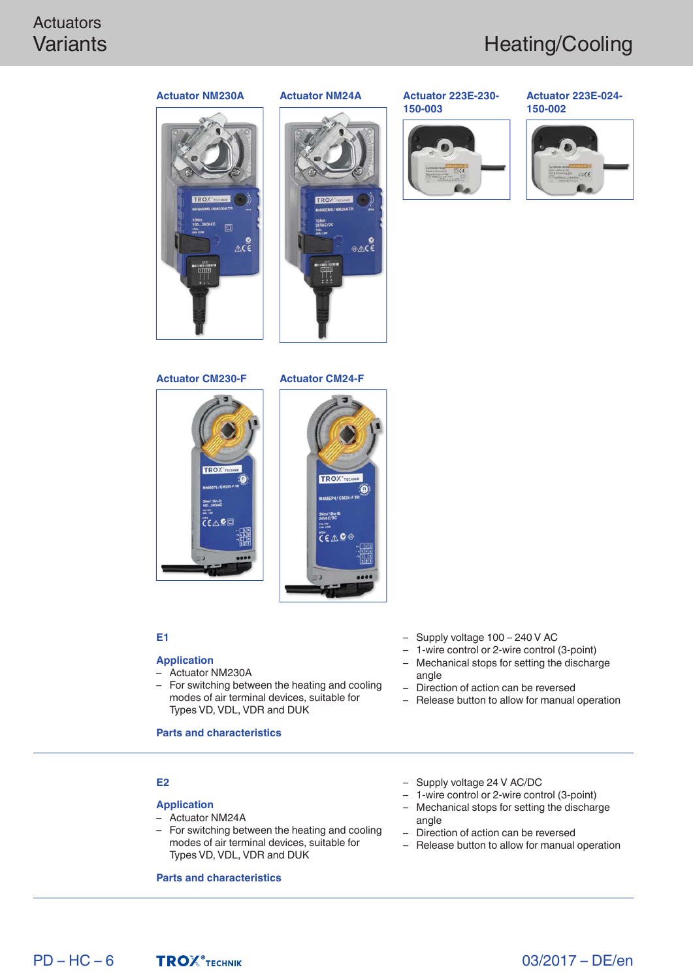# **Actuators**



#### **Actuator NM230A Actuator NM24A**

#### **Actuator 223E-230- 150-003**



#### **Actuator 223E-024- 150-002**





⊛∆сі



#### **E1**

#### **Application**

- Actuator NM230A
- For switching between the heating and cooling modes of air terminal devices, suitable for Types VD, VDL, VDR and DUK

#### **Parts and characteristics**

#### **E2**

#### **Application**

- Actuator NM24A
- For switching between the heating and cooling modes of air terminal devices, suitable for Types VD, VDL, VDR and DUK

#### **Parts and characteristics**

- Supply voltage 100 240 V AC – 1-wire control or 2-wire control (3-point)
- Mechanical stops for setting the discharge angle
- Direction of action can be reversed
- Release button to allow for manual operation
- Supply voltage 24 V AC/DC
- 1-wire control or 2-wire control (3-point) – Mechanical stops for setting the discharge
- angle
- Direction of action can be reversed
- Release button to allow for manual operation

 $PD - HC - 6$ 



03/2017 – DE/en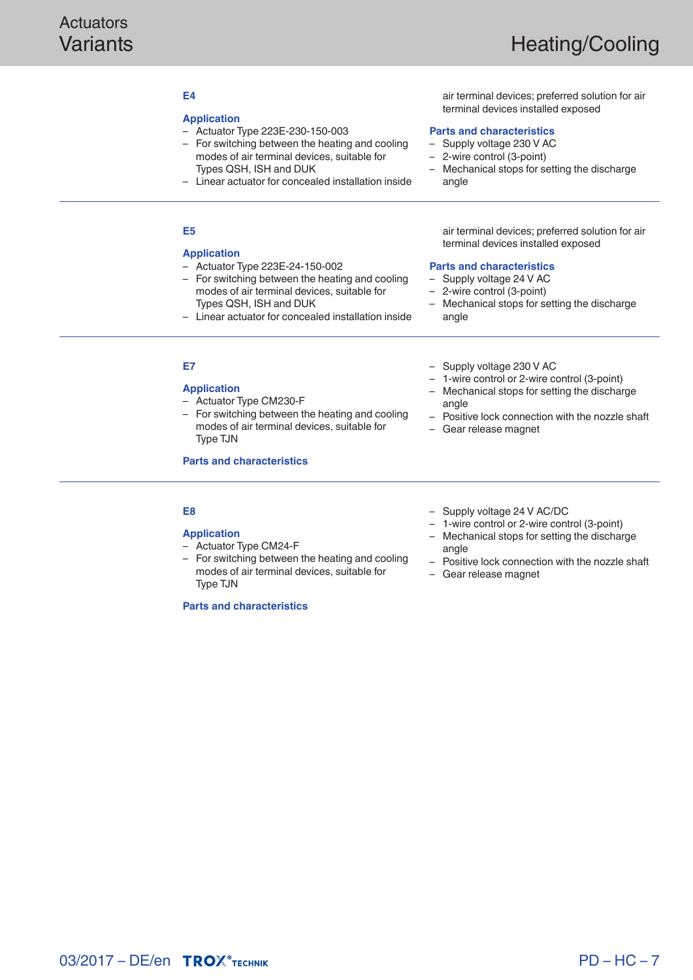### **E4**

#### **Application**

- Actuator Type 223E-230-150-003
- For switching between the heating and cooling modes of air terminal devices, suitable for Types QSH, ISH and DUK
- Linear actuator for concealed installation inside

air terminal devices; preferred solution for air terminal devices installed exposed

#### **Parts and characteristics**

- Supply voltage 230 V AC
- 2-wire control (3-point)
- Mechanical stops for setting the discharge angle

#### **E5**

#### **Application**

- Actuator Type 223E-24-150-002
- For switching between the heating and cooling modes of air terminal devices, suitable for Types QSH, ISH and DUK
- Linear actuator for concealed installation inside

#### air terminal devices; preferred solution for air terminal devices installed exposed

#### **Parts and characteristics**

- Supply voltage 24 V AC<br>– 2-wire control (3-point)
- 2-wire control (3-point)

– Supply voltage 230 V AC

– Gear release magnet

angle

– Mechanical stops for setting the discharge angle

– 1-wire control or 2-wire control (3-point) – Mechanical stops for setting the discharge

– Positive lock connection with the nozzle shaft

### **E7**

**Application**

- Actuator Type CM230-F
- For switching between the heating and cooling modes of air terminal devices, suitable for Type TJN

**Parts and characteristics**

#### **E8**

#### **Application**

- Actuator Type CM24-F
- For switching between the heating and cooling modes of air terminal devices, suitable for Type TJN

**Parts and characteristics**

- 
- Supply voltage 24 V AC/DC
- 1-wire control or 2-wire control (3-point)
- Mechanical stops for setting the discharge angle
- Positive lock connection with the nozzle shaft
- Gear release magnet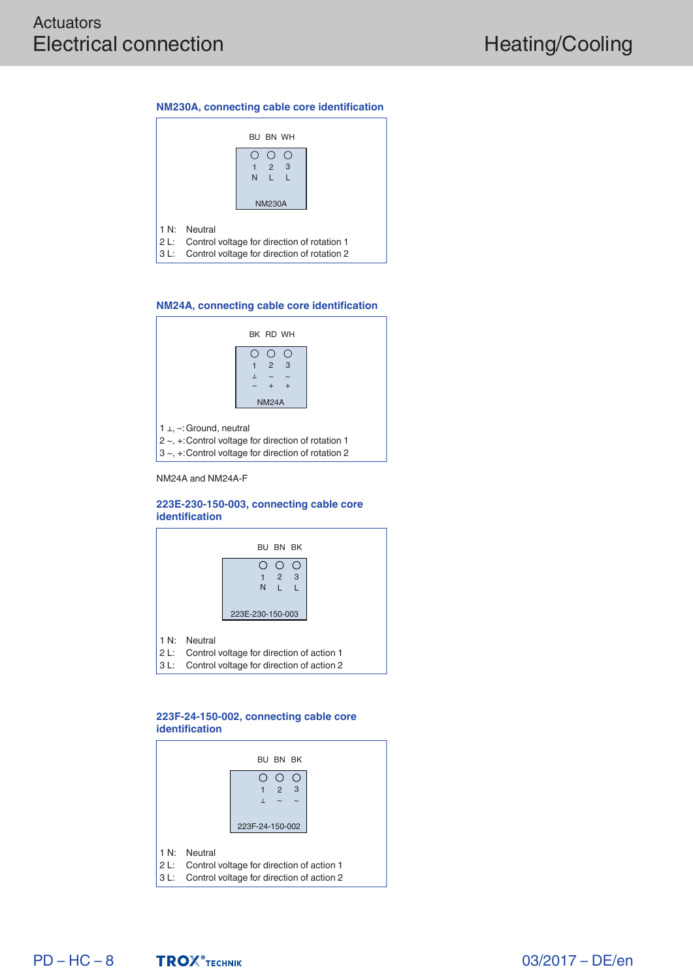#### **NM230A, connecting cable core identification**

|      |              | BU BN WH                                                                                        |  |
|------|--------------|-------------------------------------------------------------------------------------------------|--|
|      |              | $2 \quad 3$<br>N L L<br><b>NM230A</b>                                                           |  |
| 3 L: | 1 N: Neutral | 2 L: Control voltage for direction of rotation 1<br>Control voltage for direction of rotation 2 |  |

#### **NM24A, connecting cable core identification**



NM24A and NM24A-F

#### **223E-230-150-003, connecting cable core identification**



#### **223F-24-150-002, connecting cable core identification**